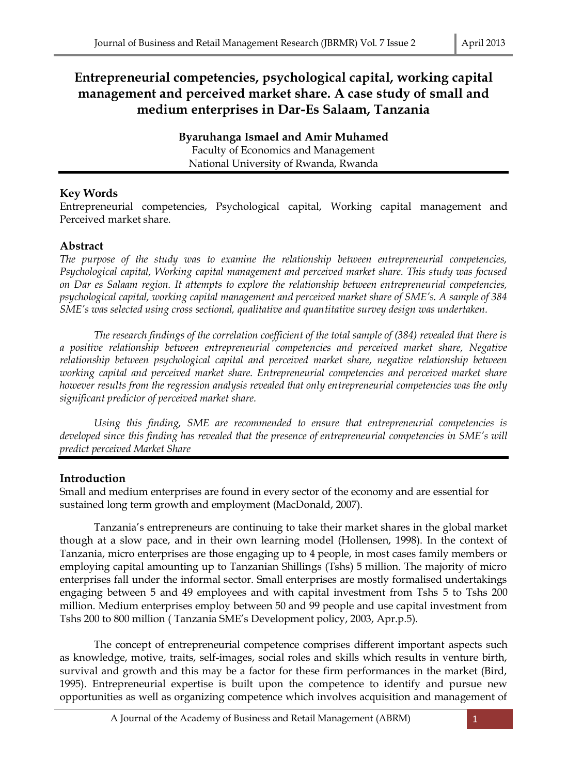# **Entrepreneurial competencies, psychological capital, working capital management and perceived market share. A case study of small and medium enterprises in Dar-Es Salaam, Tanzania**

**Byaruhanga Ismael and Amir Muhamed** Faculty of Economics and Management National University of Rwanda, Rwanda

## **Key Words**

Entrepreneurial competencies, Psychological capital, Working capital management and Perceived market share.

## **Abstract**

*The purpose of the study was to examine the relationship between entrepreneurial competencies, Psychological capital, Working capital management and perceived market share. This study was focused on Dar es Salaam region. It attempts to explore the relationship between entrepreneurial competencies, psychological capital, working capital management and perceived market share of SME's. A sample of 384 SME's was selected using cross sectional, qualitative and quantitative survey design was undertaken.*

*The research findings of the correlation coefficient of the total sample of (384) revealed that there is a positive relationship between entrepreneurial competencies and perceived market share, Negative relationship between psychological capital and perceived market share, negative relationship between working capital and perceived market share. Entrepreneurial competencies and perceived market share however results from the regression analysis revealed that only entrepreneurial competencies was the only significant predictor of perceived market share.*

*Using this finding, SME are recommended to ensure that entrepreneurial competencies is developed since this finding has revealed that the presence of entrepreneurial competencies in SME's will predict perceived Market Share*

# **Introduction**

Small and medium enterprises are found in every sector of the economy and are essential for sustained long term growth and employment (MacDonald, 2007).

Tanzania's entrepreneurs are continuing to take their market shares in the global market though at a slow pace, and in their own learning model (Hollensen, 1998). In the context of Tanzania, micro enterprises are those engaging up to 4 people, in most cases family members or employing capital amounting up to Tanzanian Shillings (Tshs) 5 million. The majority of micro enterprises fall under the informal sector. Small enterprises are mostly formalised undertakings engaging between 5 and 49 employees and with capital investment from Tshs 5 to Tshs 200 million. Medium enterprises employ between 50 and 99 people and use capital investment from Tshs 200 to 800 million ( Tanzania SME's Development policy, 2003, Apr.p.5).

The concept of entrepreneurial competence comprises different important aspects such as knowledge, motive, traits, self-images, social roles and skills which results in venture birth, survival and growth and this may be a factor for these firm performances in the market (Bird, 1995). Entrepreneurial expertise is built upon the competence to identify and pursue new opportunities as well as organizing competence which involves acquisition and management of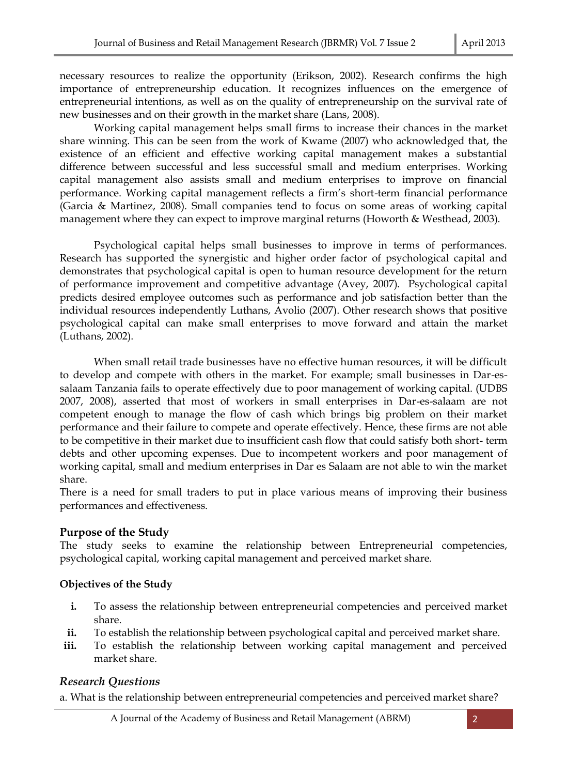necessary resources to realize the opportunity (Erikson, 2002). Research confirms the high importance of entrepreneurship education. It recognizes influences on the emergence of entrepreneurial intentions, as well as on the quality of entrepreneurship on the survival rate of new businesses and on their growth in the market share (Lans, 2008).

Working capital management helps small firms to increase their chances in the market share winning. This can be seen from the work of Kwame (2007) who acknowledged that, the existence of an efficient and effective working capital management makes a substantial difference between successful and less successful small and medium enterprises. Working capital management also assists small and medium enterprises to improve on financial performance. Working capital management reflects a firm's short-term financial performance (Garcia & Martinez, 2008). Small companies tend to focus on some areas of working capital management where they can expect to improve marginal returns (Howorth & Westhead, 2003).

Psychological capital helps small businesses to improve in terms of performances. Research has supported the synergistic and higher order factor of psychological capital and demonstrates that psychological capital is open to human resource development for the return of performance improvement and competitive advantage (Avey, 2007). Psychological capital predicts desired employee outcomes such as performance and job satisfaction better than the individual resources independently Luthans, Avolio (2007). Other research shows that positive psychological capital can make small enterprises to move forward and attain the market (Luthans, 2002).

When small retail trade businesses have no effective human resources, it will be difficult to develop and compete with others in the market. For example; small businesses in Dar-essalaam Tanzania fails to operate effectively due to poor management of working capital. (UDBS 2007, 2008), asserted that most of workers in small enterprises in Dar-es-salaam are not competent enough to manage the flow of cash which brings big problem on their market performance and their failure to compete and operate effectively. Hence, these firms are not able to be competitive in their market due to insufficient cash flow that could satisfy both short- term debts and other upcoming expenses. Due to incompetent workers and poor management of working capital, small and medium enterprises in Dar es Salaam are not able to win the market share.

There is a need for small traders to put in place various means of improving their business performances and effectiveness.

## **Purpose of the Study**

The study seeks to examine the relationship between Entrepreneurial competencies, psychological capital, working capital management and perceived market share.

## **Objectives of the Study**

- **i.** To assess the relationship between entrepreneurial competencies and perceived market share.
- **ii.** To establish the relationship between psychological capital and perceived market share.
- iii. To establish the relationship between working capital management and perceived market share.

## *Research Questions*

a. What is the relationship between entrepreneurial competencies and perceived market share?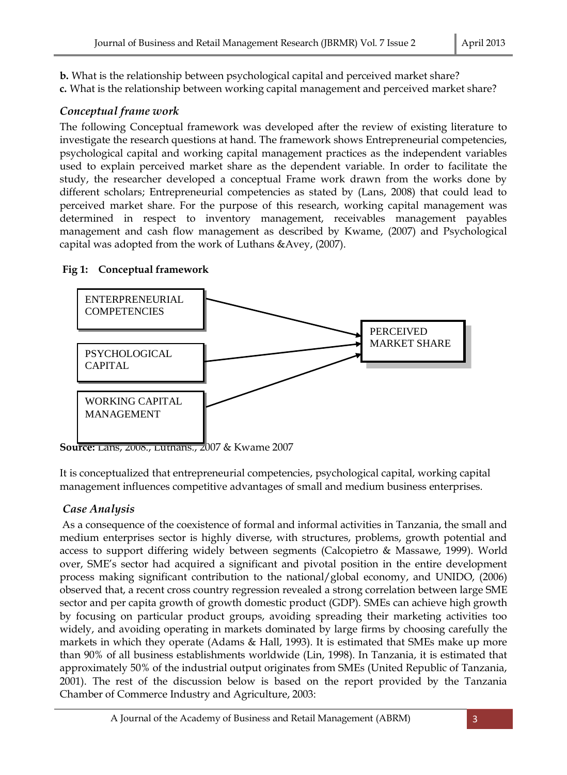**b.** What is the relationship between psychological capital and perceived market share? **c.** What is the relationship between working capital management and perceived market share?

## *Conceptual frame work*

The following Conceptual framework was developed after the review of existing literature to investigate the research questions at hand. The framework shows Entrepreneurial competencies, psychological capital and working capital management practices as the independent variables used to explain perceived market share as the dependent variable. In order to facilitate the study, the researcher developed a conceptual Frame work drawn from the works done by different scholars; Entrepreneurial competencies as stated by (Lans, 2008) that could lead to perceived market share. For the purpose of this research, working capital management was determined in respect to inventory management, receivables management payables management and cash flow management as described by Kwame, (2007) and Psychological capital was adopted from the work of Luthans &Avey, (2007).

## **Fig 1: Conceptual framework**



**Source:** Lans, 2008., Luthans., 2007 & Kwame 2007

It is conceptualized that entrepreneurial competencies, psychological capital, working capital management influences competitive advantages of small and medium business enterprises.

# *Case Analysis*

As a consequence of the coexistence of formal and informal activities in Tanzania, the small and medium enterprises sector is highly diverse, with structures, problems, growth potential and access to support differing widely between segments (Calcopietro & Massawe, 1999). World over, SME's sector had acquired a significant and pivotal position in the entire development process making significant contribution to the national/global economy, and UNIDO, (2006) observed that, a recent cross country regression revealed a strong correlation between large SME sector and per capita growth of growth domestic product (GDP). SMEs can achieve high growth by focusing on particular product groups, avoiding spreading their marketing activities too widely, and avoiding operating in markets dominated by large firms by choosing carefully the markets in which they operate (Adams & Hall, 1993). It is estimated that SMEs make up more than 90% of all business establishments worldwide (Lin, 1998). In Tanzania, it is estimated that approximately 50% of the industrial output originates from SMEs (United Republic of Tanzania, 2001). The rest of the discussion below is based on the report provided by the Tanzania Chamber of Commerce Industry and Agriculture, 2003: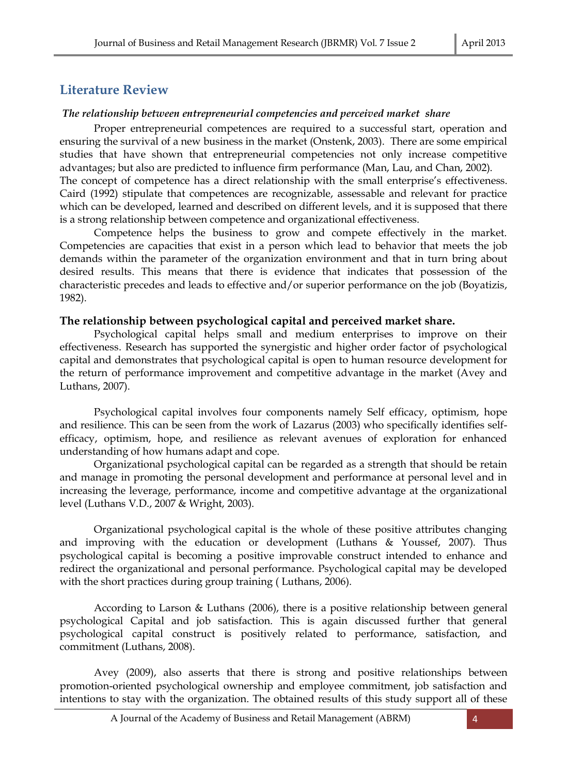# **Literature Review**

## *The relationship between entrepreneurial competencies and perceived market share*

Proper entrepreneurial competences are required to a successful start, operation and ensuring the survival of a new business in the market (Onstenk, 2003). There are some empirical studies that have shown that entrepreneurial competencies not only increase competitive advantages; but also are predicted to influence firm performance (Man, Lau, and Chan, 2002). The concept of competence has a direct relationship with the small enterprise's effectiveness. Caird (1992) stipulate that competences are recognizable, assessable and relevant for practice which can be developed, learned and described on different levels, and it is supposed that there is a strong relationship between competence and organizational effectiveness.

Competence helps the business to grow and compete effectively in the market. Competencies are capacities that exist in a person which lead to behavior that meets the job demands within the parameter of the organization environment and that in turn bring about desired results. This means that there is evidence that indicates that possession of the characteristic precedes and leads to effective and/or superior performance on the job (Boyatizis, 1982).

## **The relationship between psychological capital and perceived market share.**

Psychological capital helps small and medium enterprises to improve on their effectiveness. Research has supported the synergistic and higher order factor of psychological capital and demonstrates that psychological capital is open to human resource development for the return of performance improvement and competitive advantage in the market (Avey and Luthans, 2007).

Psychological capital involves four components namely Self efficacy, optimism, hope and resilience. This can be seen from the work of Lazarus (2003) who specifically identifies selfefficacy, optimism, hope, and resilience as relevant avenues of exploration for enhanced understanding of how humans adapt and cope.

Organizational psychological capital can be regarded as a strength that should be retain and manage in promoting the personal development and performance at personal level and in increasing the leverage, performance, income and competitive advantage at the organizational level (Luthans V.D., 2007 & Wright, 2003).

Organizational psychological capital is the whole of these positive attributes changing and improving with the education or development (Luthans & Youssef, 2007). Thus psychological capital is becoming a positive improvable construct intended to enhance and redirect the organizational and personal performance. Psychological capital may be developed with the short practices during group training ( Luthans, 2006).

According to Larson & Luthans (2006), there is a positive relationship between general psychological Capital and job satisfaction. This is again discussed further that general psychological capital construct is positively related to performance, satisfaction, and commitment (Luthans, 2008).

Avey (2009), also asserts that there is strong and positive relationships between promotion-oriented psychological ownership and employee commitment, job satisfaction and intentions to stay with the organization. The obtained results of this study support all of these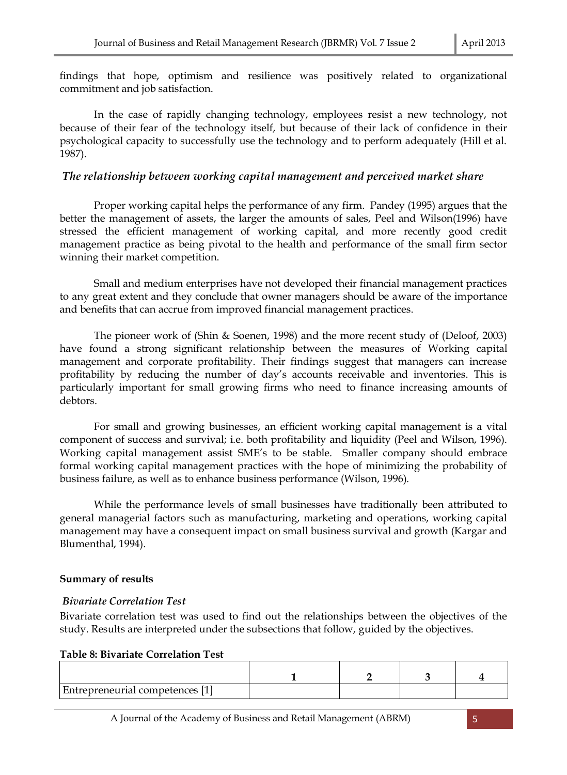findings that hope, optimism and resilience was positively related to organizational commitment and job satisfaction.

In the case of rapidly changing technology, employees resist a new technology, not because of their fear of the technology itself, but because of their lack of confidence in their psychological capacity to successfully use the technology and to perform adequately (Hill et al. 1987).

## *The relationship between working capital management and perceived market share*

Proper working capital helps the performance of any firm. Pandey (1995) argues that the better the management of assets, the larger the amounts of sales, Peel and Wilson(1996) have stressed the efficient management of working capital, and more recently good credit management practice as being pivotal to the health and performance of the small firm sector winning their market competition.

Small and medium enterprises have not developed their financial management practices to any great extent and they conclude that owner managers should be aware of the importance and benefits that can accrue from improved financial management practices.

The pioneer work of (Shin & Soenen, 1998) and the more recent study of (Deloof, 2003) have found a strong significant relationship between the measures of Working capital management and corporate profitability. Their findings suggest that managers can increase profitability by reducing the number of day's accounts receivable and inventories. This is particularly important for small growing firms who need to finance increasing amounts of debtors.

For small and growing businesses, an efficient working capital management is a vital component of success and survival; i.e. both profitability and liquidity (Peel and Wilson, 1996). Working capital management assist SME's to be stable. Smaller company should embrace formal working capital management practices with the hope of minimizing the probability of business failure, as well as to enhance business performance (Wilson, 1996).

While the performance levels of small businesses have traditionally been attributed to general managerial factors such as manufacturing, marketing and operations, working capital management may have a consequent impact on small business survival and growth (Kargar and Blumenthal, 1994).

## **Summary of results**

## *Bivariate Correlation Test*

Bivariate correlation test was used to find out the relationships between the objectives of the study. Results are interpreted under the subsections that follow, guided by the objectives.

#### **Table 8: Bivariate Correlation Test**

| <b>Entrepreneurial competences</b> [1] |  |  |
|----------------------------------------|--|--|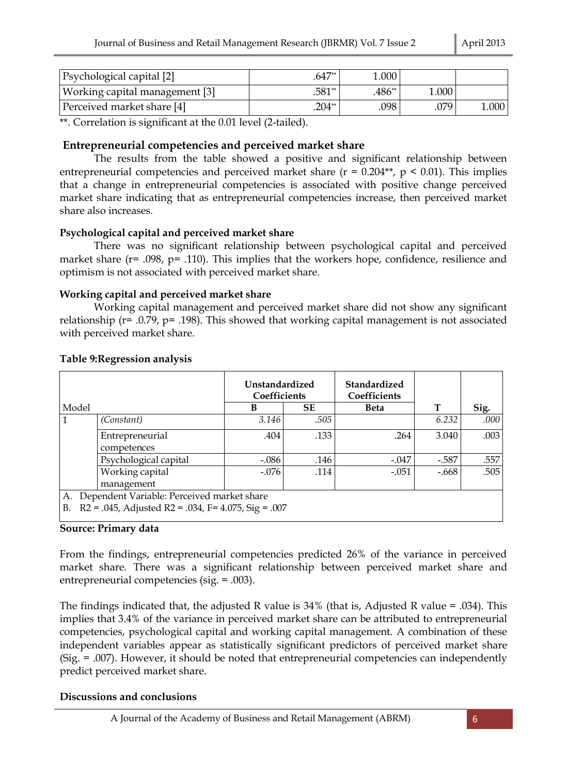| <b>Psychological capital</b> [2] | $.647**$ | 1.000    |       |       |
|----------------------------------|----------|----------|-------|-------|
| Working capital management [3]   | $.581**$ | $.486**$ | 000.1 |       |
| Perceived market share [4]       | .204**   | .098     | .079  | 1.000 |

\*\*. Correlation is significant at the 0.01 level (2-tailed).

## **Entrepreneurial competencies and perceived market share**

The results from the table showed a positive and significant relationship between entrepreneurial competencies and perceived market share ( $r = 0.204**$ ,  $p \le 0.01$ ). This implies that a change in entrepreneurial competencies is associated with positive change perceived market share indicating that as entrepreneurial competencies increase, then perceived market share also increases.

## **Psychological capital and perceived market share**

There was no significant relationship between psychological capital and perceived market share ( $r = .098$ ,  $p = .110$ ). This implies that the workers hope, confidence, resilience and optimism is not associated with perceived market share.

## **Working capital and perceived market share**

Working capital management and perceived market share did not show any significant relationship ( $r = 0.79$ ,  $p = 0.198$ ). This showed that working capital management is not associated with perceived market share.

|                                                                 |                       | Unstandardized<br>Coefficients |           | Standardized<br>Coefficients |         |      |  |  |
|-----------------------------------------------------------------|-----------------------|--------------------------------|-----------|------------------------------|---------|------|--|--|
| Model                                                           |                       | B                              | <b>SE</b> | <b>Beta</b>                  | т       | Sig. |  |  |
|                                                                 | (Constant)            | 3.146                          | .505      |                              | 6.232   | .000 |  |  |
|                                                                 | Entrepreneurial       | .404                           | .133      | .264                         | 3.040   | .003 |  |  |
|                                                                 | competences           |                                |           |                              |         |      |  |  |
|                                                                 | Psychological capital | $-.086$                        | .146      | $-.047$                      | $-.587$ | .557 |  |  |
|                                                                 | Working capital       | $-.076$                        | .114      | $-.051$                      | $-.668$ | .505 |  |  |
|                                                                 | management            |                                |           |                              |         |      |  |  |
| A. Dependent Variable: Perceived market share                   |                       |                                |           |                              |         |      |  |  |
| $R2 = .045$ , Adjusted $R2 = .034$ , F= 4.075, Sig = .007<br>В. |                       |                                |           |                              |         |      |  |  |

## **Table 9:Regression analysis**

## **Source: Primary data**

From the findings, entrepreneurial competencies predicted 26% of the variance in perceived market share. There was a significant relationship between perceived market share and entrepreneurial competencies (sig. = .003).

The findings indicated that, the adjusted R value is  $34\%$  (that is, Adjusted R value = .034). This implies that 3.4% of the variance in perceived market share can be attributed to entrepreneurial competencies, psychological capital and working capital management. A combination of these independent variables appear as statistically significant predictors of perceived market share (Sig. = .007). However, it should be noted that entrepreneurial competencies can independently predict perceived market share.

## **Discussions and conclusions**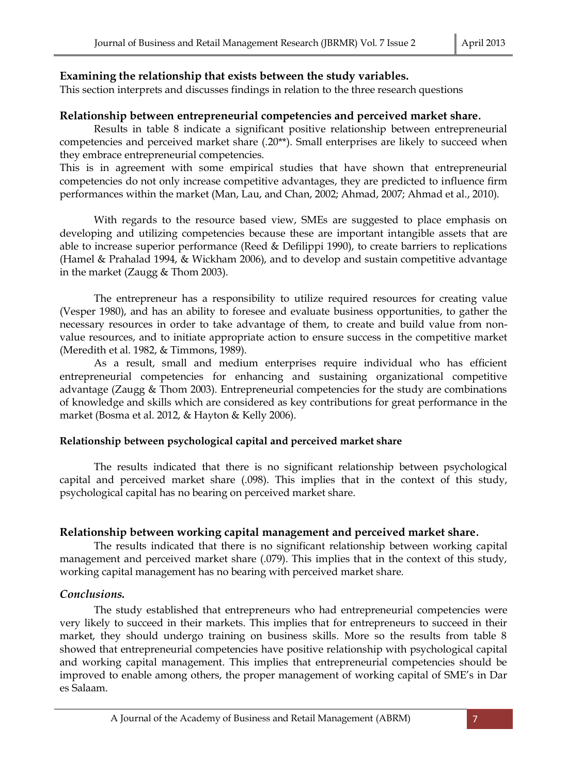## **Examining the relationship that exists between the study variables.**

This section interprets and discusses findings in relation to the three research questions

## **Relationship between entrepreneurial competencies and perceived market share.**

Results in table 8 indicate a significant positive relationship between entrepreneurial competencies and perceived market share (.20\*\*). Small enterprises are likely to succeed when they embrace entrepreneurial competencies.

This is in agreement with some empirical studies that have shown that entrepreneurial competencies do not only increase competitive advantages, they are predicted to influence firm performances within the market (Man, Lau, and Chan, 2002; Ahmad, 2007; Ahmad et al., 2010).

With regards to the resource based view, SMEs are suggested to place emphasis on developing and utilizing competencies because these are important intangible assets that are able to increase superior performance (Reed & Defilippi 1990), to create barriers to replications (Hamel & Prahalad 1994, & Wickham 2006), and to develop and sustain competitive advantage in the market (Zaugg & Thom 2003).

The entrepreneur has a responsibility to utilize required resources for creating value (Vesper 1980), and has an ability to foresee and evaluate business opportunities, to gather the necessary resources in order to take advantage of them, to create and build value from nonvalue resources, and to initiate appropriate action to ensure success in the competitive market (Meredith et al. 1982, & Timmons, 1989).

As a result, small and medium enterprises require individual who has efficient entrepreneurial competencies for enhancing and sustaining organizational competitive advantage (Zaugg & Thom 2003). Entrepreneurial competencies for the study are combinations of knowledge and skills which are considered as key contributions for great performance in the market (Bosma et al. 2012, & Hayton & Kelly 2006).

## **Relationship between psychological capital and perceived market share**

The results indicated that there is no significant relationship between psychological capital and perceived market share (.098). This implies that in the context of this study, psychological capital has no bearing on perceived market share.

## **Relationship between working capital management and perceived market share.**

The results indicated that there is no significant relationship between working capital management and perceived market share (.079). This implies that in the context of this study, working capital management has no bearing with perceived market share.

## *Conclusions.*

The study established that entrepreneurs who had entrepreneurial competencies were very likely to succeed in their markets. This implies that for entrepreneurs to succeed in their market, they should undergo training on business skills. More so the results from table 8 showed that entrepreneurial competencies have positive relationship with psychological capital and working capital management. This implies that entrepreneurial competencies should be improved to enable among others, the proper management of working capital of SME's in Dar es Salaam.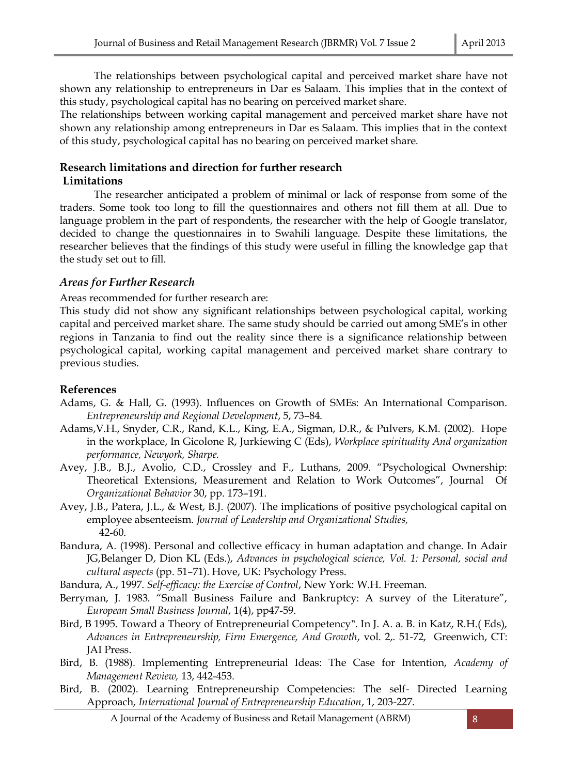The relationships between psychological capital and perceived market share have not shown any relationship to entrepreneurs in Dar es Salaam. This implies that in the context of this study, psychological capital has no bearing on perceived market share.

The relationships between working capital management and perceived market share have not shown any relationship among entrepreneurs in Dar es Salaam. This implies that in the context of this study, psychological capital has no bearing on perceived market share.

# **Research limitations and direction for further research**

#### **Limitations**

The researcher anticipated a problem of minimal or lack of response from some of the traders. Some took too long to fill the questionnaires and others not fill them at all. Due to language problem in the part of respondents, the researcher with the help of Google translator, decided to change the questionnaires in to Swahili language. Despite these limitations, the researcher believes that the findings of this study were useful in filling the knowledge gap that the study set out to fill.

#### *Areas for Further Research*

Areas recommended for further research are:

This study did not show any significant relationships between psychological capital, working capital and perceived market share. The same study should be carried out among SME's in other regions in Tanzania to find out the reality since there is a significance relationship between psychological capital, working capital management and perceived market share contrary to previous studies.

#### **References**

- Adams, G. & Hall, G. (1993). Influences on Growth of SMEs: An International Comparison. *Entrepreneurship and Regional Development*, 5, 73–84.
- Adams,V.H., Snyder, C.R., Rand, K.L., King, E.A., Sigman, D.R., & Pulvers, K.M. (2002). Hope in the workplace, In Gicolone R, Jurkiewing C (Eds), *Workplace spirituality And organization performance, Newyork, Sharpe.*
- Avey, J.B., B.J., Avolio, C.D., Crossley and F., Luthans, 2009. "Psychological Ownership: Theoretical Extensions, Measurement and Relation to Work Outcomes", Journal Of *Organizational Behavior* 30, pp. 173–191.
- Avey, J.B., Patera, J.L., & West, B.J. (2007). The implications of positive psychological capital on employee absenteeism. *Journal of Leadership and Organizational Studies,* 42-60.
- Bandura, A. (1998). Personal and collective efficacy in human adaptation and change. In Adair JG,Belanger D, Dion KL (Eds.), *Advances in psychological science, Vol. 1: Personal, social and cultural aspects* (pp. 51–71). Hove, UK: Psychology Press.
- Bandura, A., 1997. *Self-efficacy: the Exercise of Control*, New York: W.H. Freeman.
- Berryman, J. 1983. "Small Business Failure and Bankruptcy: A survey of the Literature", *European Small Business Journal*, 1(4), pp47-59.
- Bird, B 1995. Toward a Theory of Entrepreneurial Competency". In J. A. a. B. in Katz, R.H.( Eds), *Advances in Entrepreneurship, Firm Emergence, And Growth*, vol. 2,. 51-72, Greenwich, CT: JAI Press.
- Bird, B. (1988). Implementing Entrepreneurial Ideas: The Case for Intention, *Academy of Management Review,* 13, 442-453*.*
- Bird, B. (2002). Learning Entrepreneurship Competencies: The self- Directed Learning Approach, *International Journal of Entrepreneurship Education*, 1, 203-227.

A Journal of the Academy of Business and Retail Management (ABRM) 8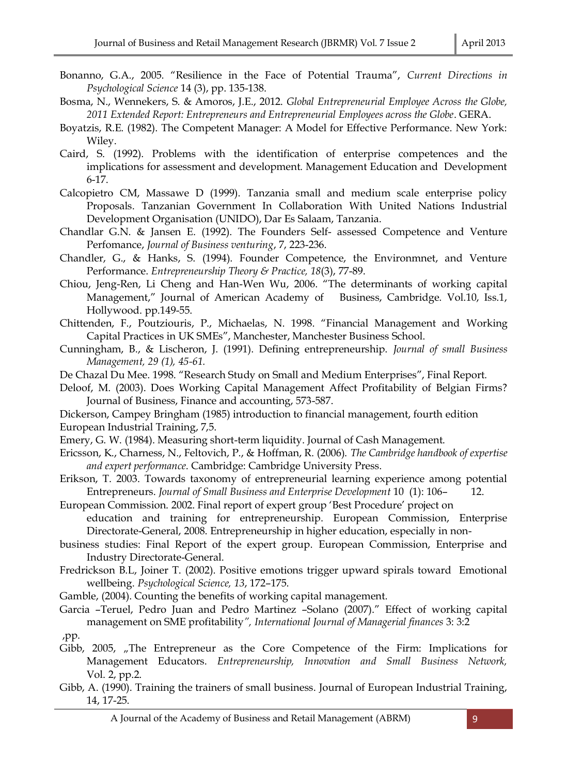- Bonanno, G.A., 2005. "Resilience in the Face of Potential Trauma", *Current Directions in Psychological Science* 14 (3), pp. 135-138.
- Bosma, N., Wennekers, S. & Amoros, J.E., 2012. *Global Entrepreneurial Employee Across the Globe, 2011 Extended Report: Entrepreneurs and Entrepreneurial Employees across the Globe*. GERA.
- Boyatzis, R.E. (1982). The Competent Manager: A Model for Effective Performance. New York: Wiley.
- Caird, S. (1992). Problems with the identification of enterprise competences and the implications for assessment and development. Management Education and Development 6-17.
- Calcopietro CM, Massawe D (1999). Tanzania small and medium scale enterprise policy Proposals. Tanzanian Government In Collaboration With United Nations Industrial Development Organisation (UNIDO), Dar Es Salaam, Tanzania.
- Chandlar G.N. & Jansen E. (1992). The Founders Self- assessed Competence and Venture Perfomance, *Journal of Business venturing*, 7, 223-236.
- Chandler, G., & Hanks, S. (1994). Founder Competence, the Environmnet, and Venture Performance. *Entrepreneurship Theory & Practice, 18*(3), 77-89.
- Chiou, Jeng-Ren, Li Cheng and Han-Wen Wu, 2006. "The determinants of working capital Management," Journal of American Academy of Business, Cambridge. Vol.10, Iss.1, Hollywood. pp.149-55.
- Chittenden, F., Poutziouris, P., Michaelas, N. 1998. "Financial Management and Working Capital Practices in UK SMEs", Manchester, Manchester Business School.
- Cunningham, B., & Lischeron, J. (1991). Defining entrepreneurship. *Journal of small Business Management, 29 (1), 45-61.*
- De Chazal Du Mee. 1998. "Research Study on Small and Medium Enterprises", Final Report.
- Deloof, M. (2003). Does Working Capital Management Affect Profitability of Belgian Firms? Journal of Business, Finance and accounting, 573-587.
- Dickerson, Campey Bringham (1985) introduction to financial management, fourth edition European Industrial Training, 7,5.
- Emery, G. W. (1984). Measuring short-term liquidity. Journal of Cash Management.
- Ericsson, K., Charness, N., Feltovich, P., & Hoffman, R. (2006). *The Cambridge handbook of expertise and expert performance*. Cambridge: Cambridge University Press.
- Erikson, T. 2003. Towards taxonomy of entrepreneurial learning experience among potential Entrepreneurs. *Journal of Small Business and Enterprise Development* 10 (1): 106– 12.

European Commission. 2002. Final report of expert group 'Best Procedure' project on

education and training for entrepreneurship. European Commission, Enterprise Directorate-General, 2008. Entrepreneurship in higher education, especially in non-

business studies: Final Report of the expert group. European Commission, Enterprise and Industry Directorate-General.

- Fredrickson B.L, Joiner T. (2002). Positive emotions trigger upward spirals toward Emotional wellbeing. *Psychological Science, 13*, 172–175.
- Gamble, (2004). Counting the benefits of working capital management.
- Garcia –Teruel, Pedro Juan and Pedro Martinez –Solano (2007)." Effect of working capital management on SME profitability*", International Journal of Managerial finances* 3: 3:2 ,pp.
- Gibb, 2005, "The Entrepreneur as the Core Competence of the Firm: Implications for Management Educators. *Entrepreneurship, Innovation and Small Business Network,*  Vol. 2, pp.2.
- Gibb, A. (1990). Training the trainers of small business. Journal of European Industrial Training, 14, 17-25.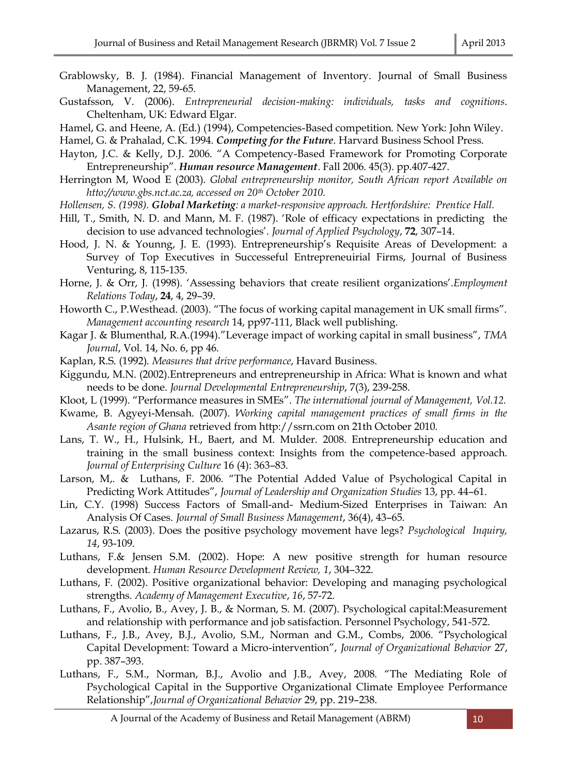- Grablowsky, B. J. (1984). Financial Management of Inventory. Journal of Small Business Management, 22, 59-65.
- Gustafsson, V. (2006). *Entrepreneurial decision-making: individuals, tasks and cognitions*. Cheltenham, UK: Edward Elgar.
- Hamel, G. and Heene, A. (Ed.) (1994), Competencies-Based competition. New York: John Wiley.
- Hamel, G. & Prahalad, C.K. 1994. *Competing for the Future*. Harvard Business School Press.
- Hayton, J.C. & Kelly, D.J. 2006. "A Competency-Based Framework for Promoting Corporate Entrepreneurship". *Human resource Management*. Fall 2006. 45(3). pp.407-427.
- Herrington M, Wood E (2003). *Global entrepreneurship monitor, South African report Available on htto://www.gbs.nct.ac.za, accessed on 20th October 2010.*
- *Hollensen, S. (1998). Global Marketing: a market-responsive approach. Hertfordshire: Prentice Hall.*
- Hill, T., Smith, N. D. and Mann, M. F. (1987). 'Role of efficacy expectations in predicting the decision to use advanced technologies'. *Journal of Applied Psychology*, **72**, 307–14.
- Hood, J. N. & Younng, J. E. (1993). Entrepreneurship's Requisite Areas of Development: a Survey of Top Executives in Successeful Entrepreneuirial Firms, Journal of Business Venturing, 8, 115-135.
- Horne, J. & Orr, J. (1998). 'Assessing behaviors that create resilient organizations'.*Employment Relations Today*, **24**, 4, 29–39.
- Howorth C., P.Westhead. (2003). "The focus of working capital management in UK small firms". *Management accounting research* 14, pp97-111, Black well publishing.
- Kagar J. & Blumenthal, R.A.(1994)."Leverage impact of working capital in small business", *TMA Journal*, Vol. 14, No. 6, pp 46.
- Kaplan, R.S. (1992). *Measures that drive performance*, Havard Business.
- Kiggundu, M.N. (2002).Entrepreneurs and entrepreneurship in Africa: What is known and what needs to be done. *Journal Developmental Entrepreneurship*, 7(3), 239-258.
- Kloot, L (1999). "Performance measures in SMEs". *The international journal of Management, Vol.12.*
- Kwame, B. Agyeyi-Mensah. (2007). *Working capital management practices of small firms in the Asante region of Ghana* retrieved from http://ssrn.com on 21th October 2010.
- Lans, T. W., H., Hulsink, H., Baert, and M. Mulder. 2008. Entrepreneurship education and training in the small business context: Insights from the competence-based approach. *Journal of Enterprising Culture* 16 (4): 363–83.
- Larson, M,. & Luthans, F. 2006. "The Potential Added Value of Psychological Capital in Predicting Work Attitudes", *Journal of Leadership and Organization Studies* 13, pp. 44–61.
- Lin, C.Y. (1998) Success Factors of Small-and- Medium-Sized Enterprises in Taiwan: An Analysis Of Cases. *Journal of Small Business Management*, 36(4), 43–65.
- Lazarus, R.S. (2003). Does the positive psychology movement have legs? *Psychological Inquiry, 14*, 93-109.
- Luthans, F.& Jensen S.M. (2002). Hope: A new positive strength for human resource development. *Human Resource Development Review, 1*, 304–322.
- Luthans, F. (2002). Positive organizational behavior: Developing and managing psychological strengths. *Academy of Management Executive*, *16*, 57-72.
- Luthans, F., Avolio, B., Avey, J. B., & Norman, S. M. (2007). Psychological capital:Measurement and relationship with performance and job satisfaction. Personnel Psychology, 541-572.
- Luthans, F., J.B., Avey, B.J., Avolio, S.M., Norman and G.M., Combs, 2006. "Psychological Capital Development: Toward a Micro-intervention", *Journal of Organizational Behavior* 27, pp. 387–393.
- Luthans, F., S.M., Norman, B.J., Avolio and J.B., Avey, 2008. "The Mediating Role of Psychological Capital in the Supportive Organizational Climate Employee Performance Relationship",*Journal of Organizational Behavior* 29, pp. 219–238.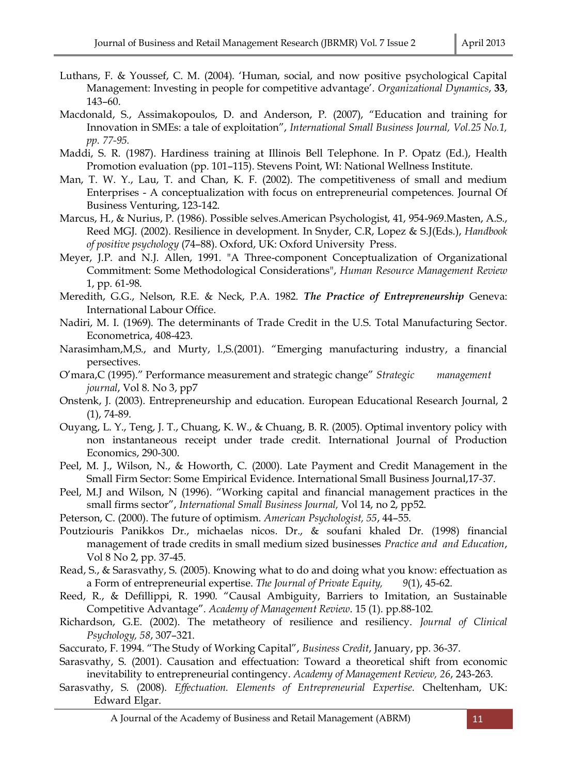- Luthans, F. & Youssef, C. M. (2004). 'Human, social, and now positive psychological Capital Management: Investing in people for competitive advantage'. *Organizational Dynamics*, **33**, 143–60.
- Macdonald, S., Assimakopoulos, D. and Anderson, P. (2007), "Education and training for Innovation in SMEs: a tale of exploitation", *International Small Business Journal, Vol.25 No.1, pp. 77-95.*
- Maddi, S. R. (1987). Hardiness training at Illinois Bell Telephone. In P. Opatz (Ed.), Health Promotion evaluation (pp. 101–115). Stevens Point, WI: National Wellness Institute.
- Man, T. W. Y., Lau, T. and Chan, K. F. (2002). The competitiveness of small and medium Enterprises - A conceptualization with focus on entrepreneurial competences. Journal Of Business Venturing, 123-142.
- Marcus, H., & Nurius, P. (1986). Possible selves.American Psychologist, 41, 954-969.Masten, A.S., Reed MGJ. (2002). Resilience in development. In Snyder, C.R, Lopez & S.J(Eds.), *Handbook of positive psychology* (74–88). Oxford, UK: Oxford University Press.
- Meyer, J.P. and N.J. Allen, 1991. "A Three-component Conceptualization of Organizational Commitment: Some Methodological Considerations", *Human Resource Management Review*  1, pp. 61-98.
- Meredith, G.G., Nelson, R.E. & Neck, P.A. 1982. *The Practice of Entrepreneurship* Geneva: International Labour Office.
- Nadiri, M. I. (1969). The determinants of Trade Credit in the U.S. Total Manufacturing Sector. Econometrica, 408-423.
- Narasimham,M,S., and Murty, l.,S.(2001). "Emerging manufacturing industry, a financial persectives.
- O'mara,C (1995)." Performance measurement and strategic change" *Strategic management journal*, Vol 8. No 3, pp7
- Onstenk, J. (2003). Entrepreneurship and education. European Educational Research Journal, 2 (1), 74-89.
- Ouyang, L. Y., Teng, J. T., Chuang, K. W., & Chuang, B. R. (2005). Optimal inventory policy with non instantaneous receipt under trade credit. International Journal of Production Economics, 290-300.
- Peel, M. J., Wilson, N., & Howorth, C. (2000). Late Payment and Credit Management in the Small Firm Sector: Some Empirical Evidence. International Small Business Journal,17-37.
- Peel, M.J and Wilson, N (1996). "Working capital and financial management practices in the small firms sector", *International Small Business Journal,* Vol 14, no 2, pp52.
- Peterson, C. (2000). The future of optimism. *American Psychologist, 55*, 44–55.
- Poutziouris Panikkos Dr., michaelas nicos. Dr., & soufani khaled Dr. (1998) financial management of trade credits in small medium sized businesses *Practice and and Education*, Vol 8 No 2, pp. 37-45.
- Read, S., & Sarasvathy, S. (2005). Knowing what to do and doing what you know: effectuation as a Form of entrepreneurial expertise. *The Journal of Private Equity, 9*(1), 45-62.
- Reed, R., & Defillippi, R. 1990. "Causal Ambiguity, Barriers to Imitation, an Sustainable Competitive Advantage". *Academy of Management Review*. 15 (1). pp.88-102.
- Richardson, G.E. (2002). The metatheory of resilience and resiliency. *Journal of Clinical Psychology, 58*, 307–321.
- Saccurato, F. 1994. "The Study of Working Capital", *Business Credit*, January, pp. 36-37.
- Sarasvathy, S. (2001). Causation and effectuation: Toward a theoretical shift from economic inevitability to entrepreneurial contingency. *Academy of Management Review, 26*, 243-263.
- Sarasvathy, S. (2008). *Effectuation. Elements of Entrepreneurial Expertise.* Cheltenham, UK: Edward Elgar.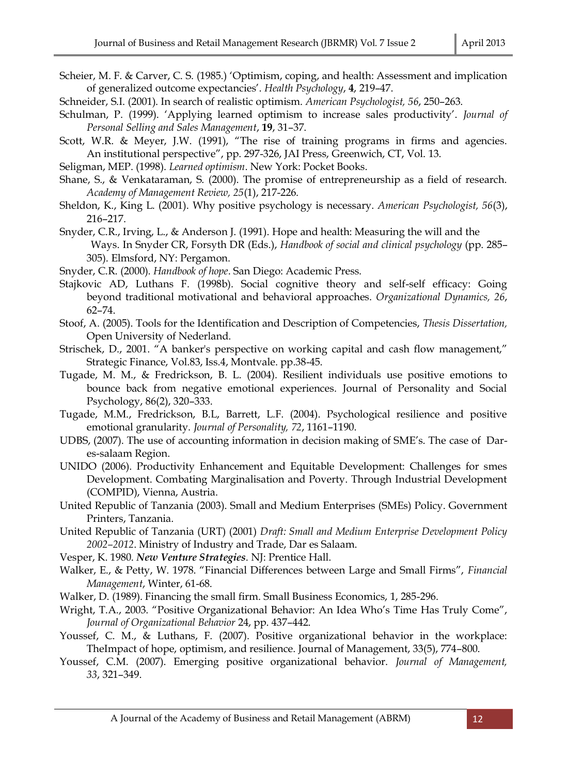- Scheier, M. F. & Carver, C. S. (1985.) 'Optimism, coping, and health: Assessment and implication of generalized outcome expectancies'. *Health Psychology*, **4**, 219–47.
- Schneider, S.I. (2001). In search of realistic optimism. *American Psychologist, 56*, 250–263.
- Schulman, P. (1999). 'Applying learned optimism to increase sales productivity'. *Journal of Personal Selling and Sales Management*, **19**, 31–37.
- Scott, W.R. & Meyer, J.W. (1991), "The rise of training programs in firms and agencies. An institutional perspective", pp. 297-326, JAI Press, Greenwich, CT, Vol. 13.
- Seligman, MEP. (1998). *Learned optimism*. New York: Pocket Books.
- Shane, S., & Venkataraman, S. (2000). The promise of entrepreneurship as a field of research. *Academy of Management Review, 25*(1), 217-226.
- Sheldon, K., King L. (2001). Why positive psychology is necessary. *American Psychologist, 56*(3), 216–217.
- Snyder, C.R., Irving, L., & Anderson J. (1991). Hope and health: Measuring the will and the Ways. In Snyder CR, Forsyth DR (Eds.), *Handbook of social and clinical psychology* (pp. 285– 305). Elmsford, NY: Pergamon.
- Snyder, C.R. (2000). *Handbook of hope*. San Diego: Academic Press.
- Stajkovic AD, Luthans F. (1998b). Social cognitive theory and self-self efficacy: Going beyond traditional motivational and behavioral approaches. *Organizational Dynamics, 26*, 62–74.
- Stoof, A. (2005). Tools for the Identification and Description of Competencies, *Thesis Dissertation,*  Open University of Nederland.
- Strischek, D., 2001. "A banker's perspective on working capital and cash flow management," Strategic Finance, Vol.83, Iss.4, Montvale. pp.38-45.
- Tugade, M. M., & Fredrickson, B. L. (2004). Resilient individuals use positive emotions to bounce back from negative emotional experiences. Journal of Personality and Social Psychology, 86(2), 320–333.
- Tugade, M.M., Fredrickson, B.L, Barrett, L.F. (2004). Psychological resilience and positive emotional granularity. *Journal of Personality, 72*, 1161–1190.
- UDBS, (2007). The use of accounting information in decision making of SME's. The case of Dares-salaam Region.
- UNIDO (2006). Productivity Enhancement and Equitable Development: Challenges for smes Development. Combating Marginalisation and Poverty. Through Industrial Development (COMPID), Vienna, Austria.
- United Republic of Tanzania (2003). Small and Medium Enterprises (SMEs) Policy. Government Printers, Tanzania.
- United Republic of Tanzania (URT) (2001) *Draft: Small and Medium Enterprise Development Policy 2002–2012*. Ministry of Industry and Trade, Dar es Salaam.
- Vesper, K. 1980. *New Venture Strategies*. NJ: Prentice Hall.
- Walker, E., & Petty, W. 1978. "Financial Differences between Large and Small Firms", *Financial Management*, Winter, 61-68.
- Walker, D. (1989). Financing the small firm. Small Business Economics, 1, 285-296.
- Wright, T.A., 2003. "Positive Organizational Behavior: An Idea Who's Time Has Truly Come", *Journal of Organizational Behavior* 24, pp. 437–442.
- Youssef, C. M., & Luthans, F. (2007). Positive organizational behavior in the workplace: TheImpact of hope, optimism, and resilience. Journal of Management, 33(5), 774–800.
- Youssef, C.M. (2007). Emerging positive organizational behavior. *Journal of Management, 33*, 321–349.